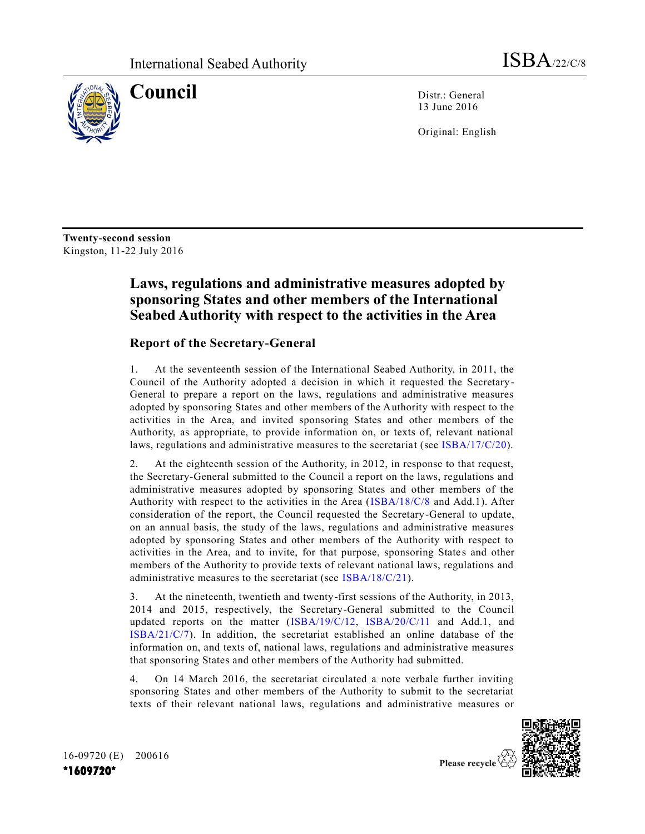

**Council** Distr.: General 13 June 2016

Original: English

**Twenty-second session** Kingston, 11-22 July 2016

# **Laws, regulations and administrative measures adopted by sponsoring States and other members of the International Seabed Authority with respect to the activities in the Area**

# **Report of the Secretary-General**

1. At the seventeenth session of the International Seabed Authority, in 2011, the Council of the Authority adopted a decision in which it requested the Secretary-General to prepare a report on the laws, regulations and administrative measures adopted by sponsoring States and other members of the Authority with respect to the activities in the Area, and invited sponsoring States and other members of the Authority, as appropriate, to provide information on, or texts of, relevant national laws, regulations and administrative measures to the secretariat (see [ISBA/17/C/20\)](http://undocs.org/ISBA/17/C/20).

2. At the eighteenth session of the Authority, in 2012, in response to that request, the Secretary-General submitted to the Council a report on the laws, regulations and administrative measures adopted by sponsoring States and other members of the Authority with respect to the activities in the Area [\(ISBA/18/C/8](http://undocs.org/ISBA/18/C/8) and Add.1). After consideration of the report, the Council requested the Secretary-General to update, on an annual basis, the study of the laws, regulations and administrative measures adopted by sponsoring States and other members of the Authority with respect to activities in the Area, and to invite, for that purpose, sponsoring States and other members of the Authority to provide texts of relevant national laws, regulations and administrative measures to the secretariat (see [ISBA/18/C/21\)](http://undocs.org/ISBA/18/C/21).

3. At the nineteenth, twentieth and twenty-first sessions of the Authority, in 2013, 2014 and 2015, respectively, the Secretary-General submitted to the Council updated reports on the matter [\(ISBA/19/C/12,](http://undocs.org/ISBA/19/C/12) [ISBA/20/C/11](http://undocs.org/ISBA/20/C/11) and Add.1, and [ISBA/21/C/7\)](http://undocs.org/ISBA/21/C/7). In addition, the secretariat established an online database of the information on, and texts of, national laws, regulations and administrative measures that sponsoring States and other members of the Authority had submitted.

4. On 14 March 2016, the secretariat circulated a note verbale further inviting sponsoring States and other members of the Authority to submit to the secretariat texts of their relevant national laws, regulations and administrative measures or



16-09720 (E) 200616 **\*1609720\***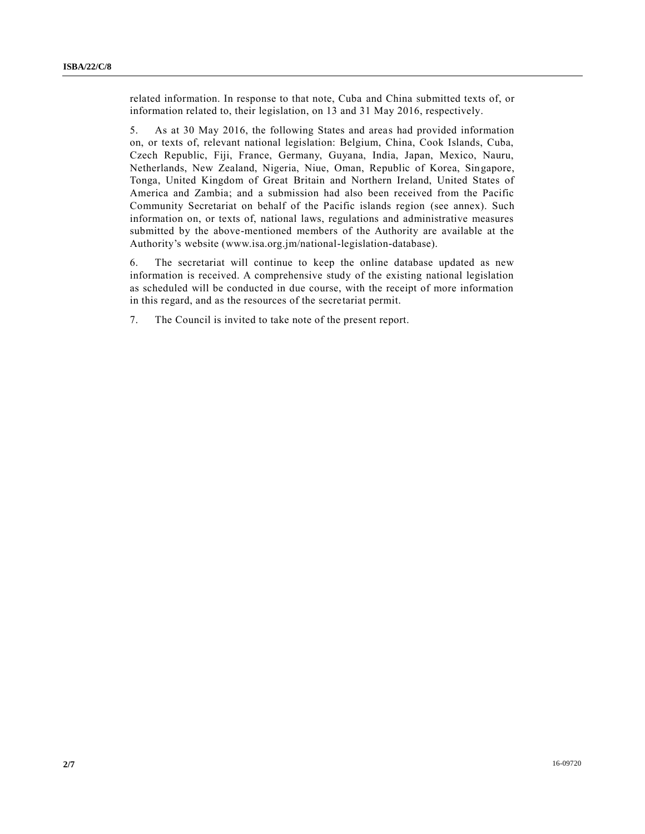related information. In response to that note, Cuba and China submitted texts of, or information related to, their legislation, on 13 and 31 May 2016, respectively.

5. As at 30 May 2016, the following States and areas had provided information on, or texts of, relevant national legislation: Belgium, China, Cook Islands, Cuba, Czech Republic, Fiji, France, Germany, Guyana, India, Japan, Mexico, Nauru, Netherlands, New Zealand, Nigeria, Niue, Oman, Republic of Korea, Singapore, Tonga, United Kingdom of Great Britain and Northern Ireland, United States of America and Zambia; and a submission had also been received from the Pacific Community Secretariat on behalf of the Pacific islands region (see annex). Such information on, or texts of, national laws, regulations and administrative measures submitted by the above-mentioned members of the Authority are available at the Authority's website (www.isa.org.jm/national-legislation-database).

6. The secretariat will continue to keep the online database updated as new information is received. A comprehensive study of the existing national legislation as scheduled will be conducted in due course, with the receipt of more information in this regard, and as the resources of the secretariat permit.

7. The Council is invited to take note of the present report.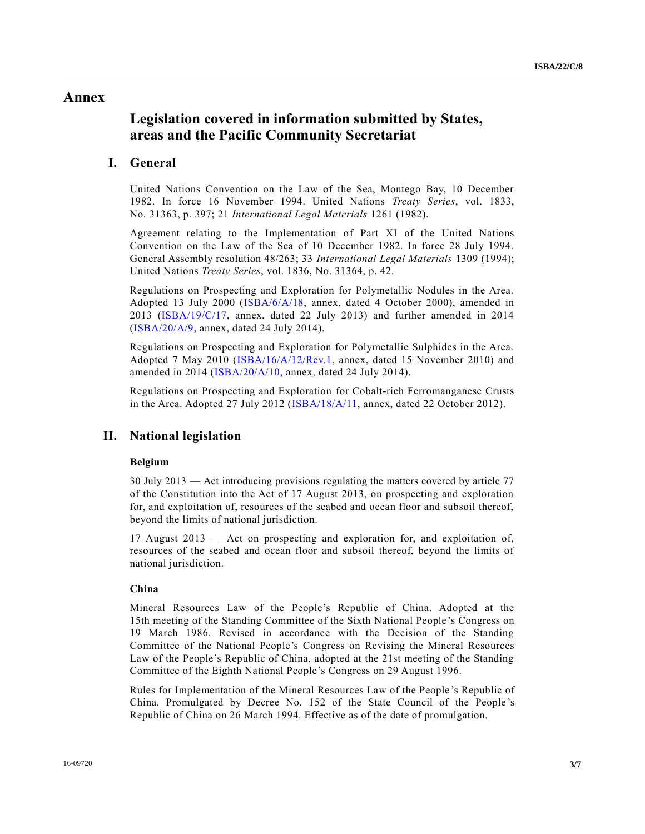# **Annex**

# **Legislation covered in information submitted by States, areas and the Pacific Community Secretariat**

# **I. General**

United Nations Convention on the Law of the Sea, Montego Bay, 10 December 1982. In force 16 November 1994. United Nations *Treaty Series*, vol. 1833, No. 31363, p. 397; 21 *International Legal Materials* 1261 (1982).

Agreement relating to the Implementation of Part XI of the United Nations Convention on the Law of the Sea of 10 December 1982. In force 28 July 1994. General Assembly resolution 48/263; 33 *International Legal Materials* 1309 (1994); United Nations *Treaty Series*, vol. 1836, No. 31364, p. 42.

Regulations on Prospecting and Exploration for Polymetallic Nodules in the Area. Adopted 13 July 2000 [\(ISBA/6/A/18,](http://undocs.org/ISBA/6/A/18) annex, dated 4 October 2000), amended in 2013 [\(ISBA/19/C/17,](http://undocs.org/ISBA/19/C/17) annex, dated 22 July 2013) and further amended in 2014 [\(ISBA/20/A/9,](http://undocs.org/ISBA/20/A/9) annex, dated 24 July 2014).

Regulations on Prospecting and Exploration for Polymetallic Sulphides in the Area. Adopted 7 May 2010 [\(ISBA/16/A/12/Rev.1,](http://undocs.org/ISBA/16/A/12/Rev.1) annex, dated 15 November 2010) and amended in 2014 [\(ISBA/20/A/10,](http://undocs.org/ISBA/20/A/10) annex, dated 24 July 2014).

Regulations on Prospecting and Exploration for Cobalt-rich Ferromanganese Crusts in the Area. Adopted 27 July 2012 [\(ISBA/18/A/11,](http://undocs.org/ISBA/18/A/11) annex, dated 22 October 2012).

# **II. National legislation**

# **Belgium**

30 July 2013 — Act introducing provisions regulating the matters covered by article 77 of the Constitution into the Act of 17 August 2013, on prospecting and exploration for, and exploitation of, resources of the seabed and ocean floor and subsoil thereof, beyond the limits of national jurisdiction.

17 August 2013 — Act on prospecting and exploration for, and exploitation of, resources of the seabed and ocean floor and subsoil thereof, beyond the limits of national jurisdiction.

# **China**

Mineral Resources Law of the People's Republic of China. Adopted at the 15th meeting of the Standing Committee of the Sixth National People 's Congress on 19 March 1986. Revised in accordance with the Decision of the Standing Committee of the National People's Congress on Revising the Mineral Resources Law of the People's Republic of China, adopted at the 21st meeting of the Standing Committee of the Eighth National People's Congress on 29 August 1996.

Rules for Implementation of the Mineral Resources Law of the People 's Republic of China. Promulgated by Decree No. 152 of the State Council of the People 's Republic of China on 26 March 1994. Effective as of the date of promulgation.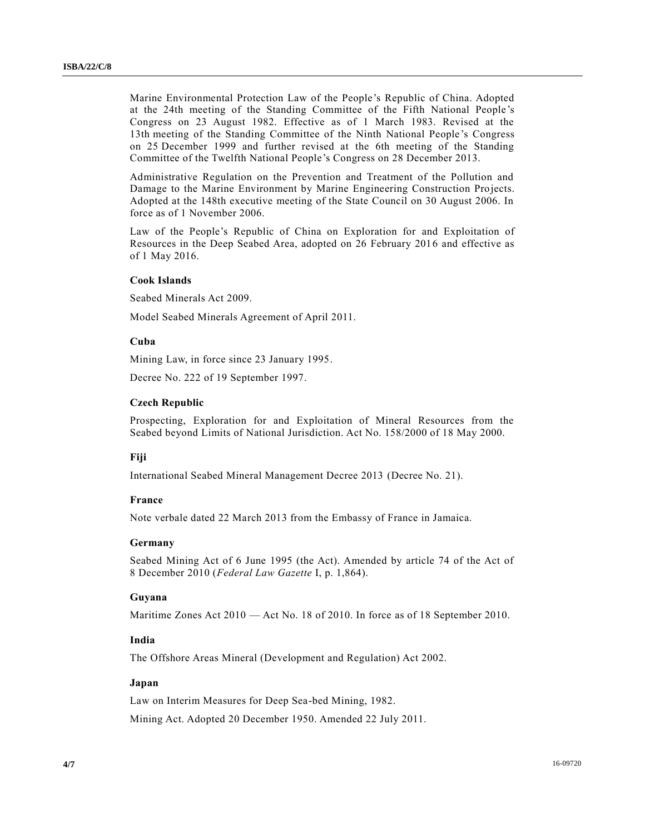Marine Environmental Protection Law of the People's Republic of China. Adopted at the 24th meeting of the Standing Committee of the Fifth National People's Congress on 23 August 1982. Effective as of 1 March 1983. Revised at the 13th meeting of the Standing Committee of the Ninth National People 's Congress on 25 December 1999 and further revised at the 6th meeting of the Standing Committee of the Twelfth National People's Congress on 28 December 2013.

Administrative Regulation on the Prevention and Treatment of the Pollution and Damage to the Marine Environment by Marine Engineering Construction Projects. Adopted at the 148th executive meeting of the State Council on 30 August 2006. In force as of 1 November 2006.

Law of the People's Republic of China on Exploration for and Exploitation of Resources in the Deep Seabed Area, adopted on 26 February 2016 and effective as of 1 May 2016.

# **Cook Islands**

Seabed Minerals Act 2009.

Model Seabed Minerals Agreement of April 2011.

# **Cuba**

Mining Law, in force since 23 January 1995.

Decree No. 222 of 19 September 1997.

#### **Czech Republic**

Prospecting, Exploration for and Exploitation of Mineral Resources from the Seabed beyond Limits of National Jurisdiction. Act No. 158/2000 of 18 May 2000.

# **Fiji**

International Seabed Mineral Management Decree 2013 (Decree No. 21).

#### **France**

Note verbale dated 22 March 2013 from the Embassy of France in Jamaica.

# **Germany**

Seabed Mining Act of 6 June 1995 (the Act). Amended by article 74 of the Act of 8 December 2010 (*Federal Law Gazette* I, p. 1,864).

#### **Guyana**

Maritime Zones Act 2010 — Act No. 18 of 2010. In force as of 18 September 2010.

# **India**

The Offshore Areas Mineral (Development and Regulation) Act 2002.

# **Japan**

Law on Interim Measures for Deep Sea-bed Mining, 1982.

Mining Act. Adopted 20 December 1950. Amended 22 July 2011.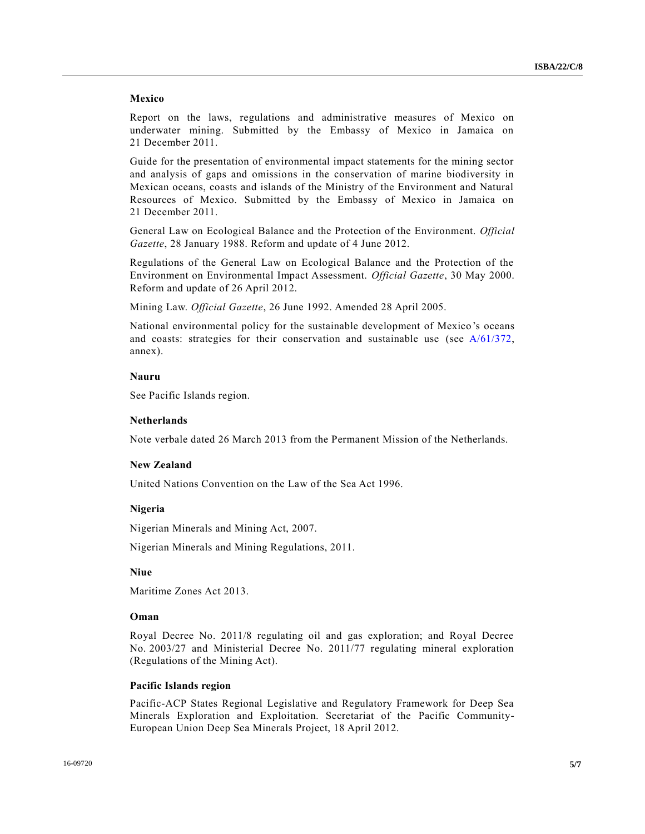#### **Mexico**

Report on the laws, regulations and administrative measures of Mexico on underwater mining. Submitted by the Embassy of Mexico in Jamaica on 21 December 2011.

Guide for the presentation of environmental impact statements for the mining sector and analysis of gaps and omissions in the conservation of marine biodiversity in Mexican oceans, coasts and islands of the Ministry of the Environment and Natural Resources of Mexico. Submitted by the Embassy of Mexico in Jamaica on 21 December 2011.

General Law on Ecological Balance and the Protection of the Environment. *Official Gazette*, 28 January 1988. Reform and update of 4 June 2012.

Regulations of the General Law on Ecological Balance and the Protection of the Environment on Environmental Impact Assessment. *Official Gazette*, 30 May 2000. Reform and update of 26 April 2012.

Mining Law. *Official Gazette*, 26 June 1992. Amended 28 April 2005.

National environmental policy for the sustainable development of Mexico 's oceans and coasts: strategies for their conservation and sustainable use (see  $A/61/372$ , annex).

#### **Nauru**

See Pacific Islands region.

# **Netherlands**

Note verbale dated 26 March 2013 from the Permanent Mission of the Netherlands.

#### **New Zealand**

United Nations Convention on the Law of the Sea Act 1996.

## **Nigeria**

Nigerian Minerals and Mining Act, 2007.

Nigerian Minerals and Mining Regulations, 2011.

# **Niue**

Maritime Zones Act 2013.

#### **Oman**

Royal Decree No. 2011/8 regulating oil and gas exploration; and Royal Decree No. 2003/27 and Ministerial Decree No. 2011/77 regulating mineral exploration (Regulations of the Mining Act).

#### **Pacific Islands region**

Pacific-ACP States Regional Legislative and Regulatory Framework for Deep Sea Minerals Exploration and Exploitation. Secretariat of the Pacific Community-European Union Deep Sea Minerals Project, 18 April 2012.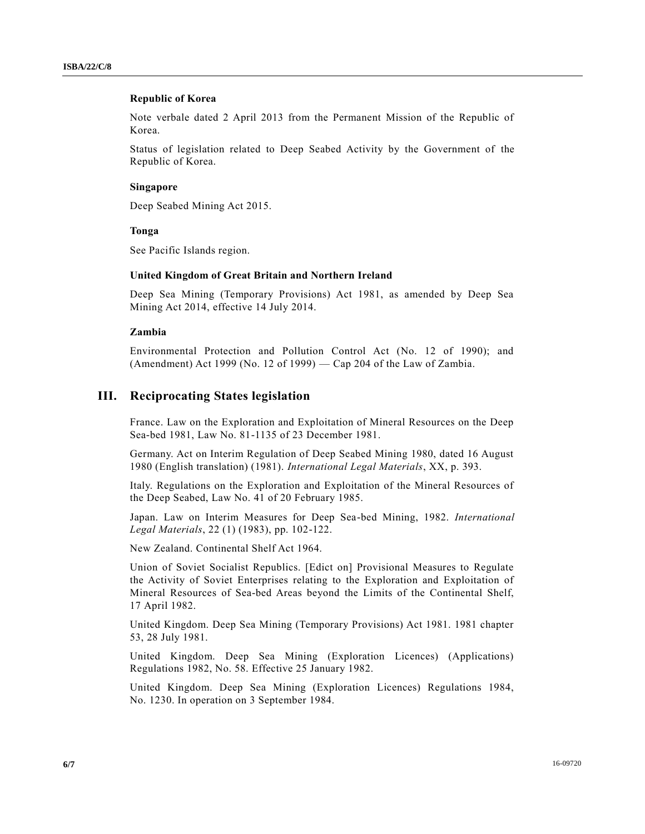#### **Republic of Korea**

Note verbale dated 2 April 2013 from the Permanent Mission of the Republic of Korea.

Status of legislation related to Deep Seabed Activity by the Government of the Republic of Korea.

#### **Singapore**

Deep Seabed Mining Act 2015.

#### **Tonga**

See Pacific Islands region.

# **United Kingdom of Great Britain and Northern Ireland**

Deep Sea Mining (Temporary Provisions) Act 1981, as amended by Deep Sea Mining Act 2014, effective 14 July 2014.

#### **Zambia**

Environmental Protection and Pollution Control Act (No. 12 of 1990); and (Amendment) Act 1999 (No. 12 of 1999) — Cap 204 of the Law of Zambia.

# **III. Reciprocating States legislation**

France. Law on the Exploration and Exploitation of Mineral Resources on the Deep Sea-bed 1981, Law No. 81-1135 of 23 December 1981.

Germany. Act on Interim Regulation of Deep Seabed Mining 1980, dated 16 August 1980 (English translation) (1981). *International Legal Materials*, XX, p. 393.

Italy. Regulations on the Exploration and Exploitation of the Mineral Resources of the Deep Seabed, Law No. 41 of 20 February 1985.

Japan. Law on Interim Measures for Deep Sea-bed Mining, 1982. *International Legal Materials*, 22 (1) (1983), pp. 102-122.

New Zealand. Continental Shelf Act 1964.

Union of Soviet Socialist Republics. [Edict on] Provisional Measures to Regulate the Activity of Soviet Enterprises relating to the Exploration and Exploitation of Mineral Resources of Sea-bed Areas beyond the Limits of the Continental Shelf, 17 April 1982.

United Kingdom. Deep Sea Mining (Temporary Provisions) Act 1981. 1981 chapter 53, 28 July 1981.

United Kingdom. Deep Sea Mining (Exploration Licences) (Applications) Regulations 1982, No. 58. Effective 25 January 1982.

United Kingdom. Deep Sea Mining (Exploration Licences) Regulations 1984, No. 1230. In operation on 3 September 1984.